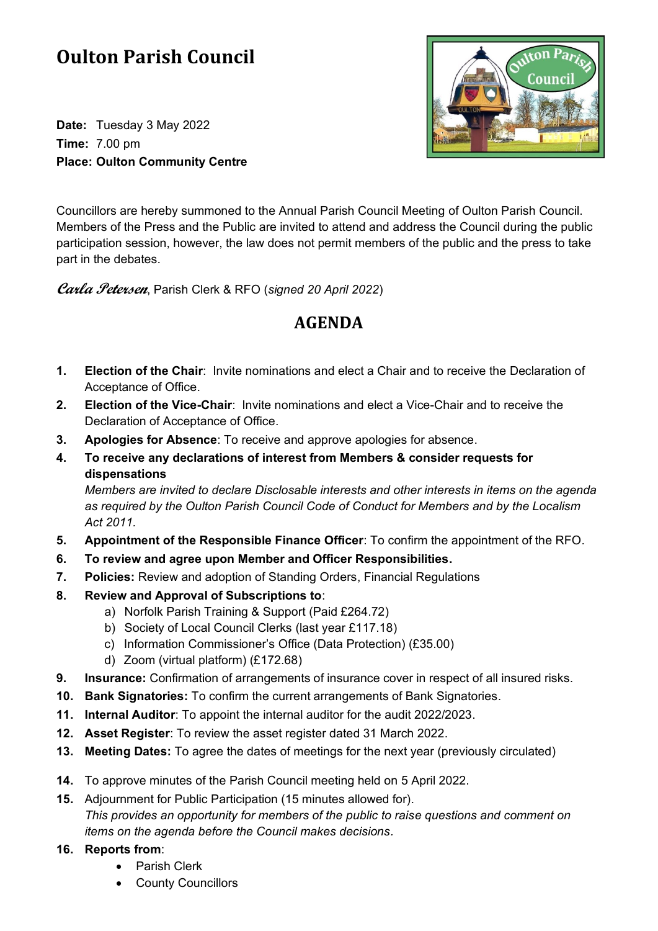# **Oulton Parish Council**

**Date:** Tuesday 3 May 2022 **Time:** 7.00 pm **Place: Oulton Community Centre**



Councillors are hereby summoned to the Annual Parish Council Meeting of Oulton Parish Council. Members of the Press and the Public are invited to attend and address the Council during the public participation session, however, the law does not permit members of the public and the press to take part in the debates.

**Carla Petersen**, Parish Clerk & RFO (*signed 20 April 2022*)

# **AGENDA**

- **1. Election of the Chair**: Invite nominations and elect a Chair and to receive the Declaration of Acceptance of Office.
- **2. Election of the Vice-Chair**: Invite nominations and elect a Vice-Chair and to receive the Declaration of Acceptance of Office.
- **3. Apologies for Absence**: To receive and approve apologies for absence.
- **4. To receive any declarations of interest from Members & consider requests for dispensations**

*Members are invited to declare Disclosable interests and other interests in items on the agenda as required by the Oulton Parish Council Code of Conduct for Members and by the Localism Act 2011.*

- **5. Appointment of the Responsible Finance Officer**: To confirm the appointment of the RFO.
- **6. To review and agree upon Member and Officer Responsibilities.**
- **7. Policies:** Review and adoption of Standing Orders, Financial Regulations
- **8. Review and Approval of Subscriptions to**:
	- a) Norfolk Parish Training & Support (Paid £264.72)
	- b) Society of Local Council Clerks (last year £117.18)
	- c) Information Commissioner's Office (Data Protection) (£35.00)
	- d) Zoom (virtual platform) (£172.68)
- **9. Insurance:** Confirmation of arrangements of insurance cover in respect of all insured risks.
- **10. Bank Signatories:** To confirm the current arrangements of Bank Signatories.
- **11. Internal Auditor**: To appoint the internal auditor for the audit 2022/2023.
- **12. Asset Register**: To review the asset register dated 31 March 2022.
- **13. Meeting Dates:** To agree the dates of meetings for the next year (previously circulated)
- **14.** To approve minutes of the Parish Council meeting held on 5 April 2022.
- **15.** Adjournment for Public Participation (15 minutes allowed for). *This provides an opportunity for members of the public to raise questions and comment on items on the agenda before the Council makes decisions.*
- **16. Reports from**:
	- Parish Clerk
	- County Councillors